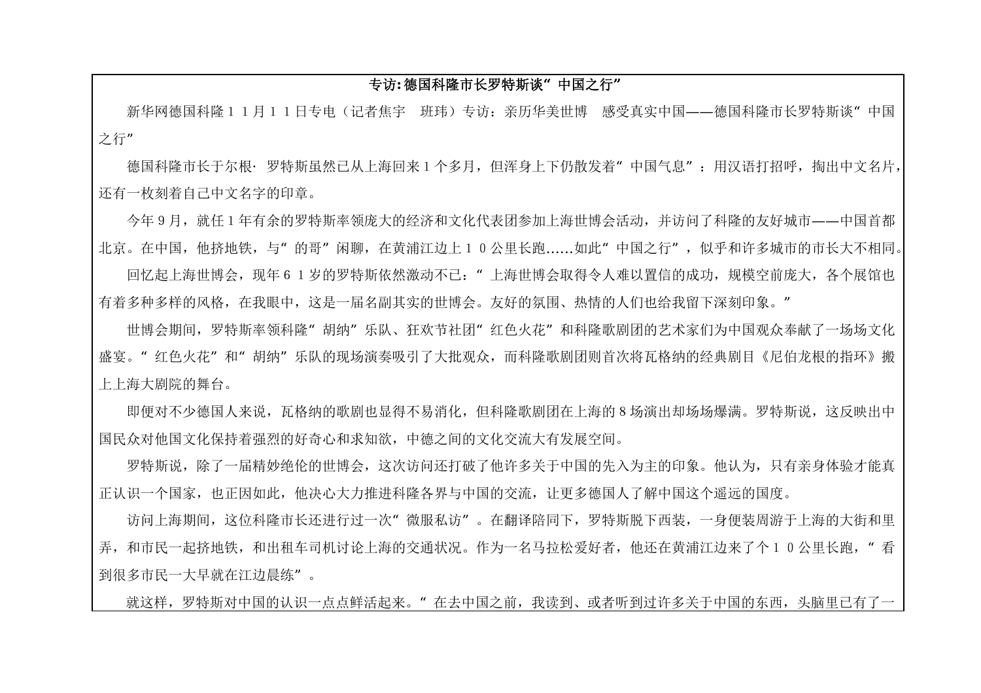## **专访:德国科隆市长罗特斯谈"中国之行"**

新华网德国科隆11月11日专电(记者焦宇 班玮)专访:亲历华美世博 感受真实中国——德国科隆市长罗特斯谈"中国 之行"

德国科隆市长于尔根·罗特斯虽然已从上海回来1个多月,但浑身上下仍散发着"中国气息":用汉语打招呼,掏出中文名片, 还有一枚刻着自己中文名字的印章。

 今年9月,就任1年有余的罗特斯率领庞大的经济和文化代表团参加上海世博会活动,并访问了科隆的友好城市——中国首都 北京。在中国,他挤地铁,与"的哥"闲聊,在黄浦江边上10公里长跑……如此"中国之行",似乎和许多城市的市长大不相同。 回忆起上海世博会,现年61岁的罗特斯依然激动不已:"上海世博会取得令人难以置信的成功,规模空前庞大,各个展馆也 有着多种多样的风格,在我眼中,这是一届名副其实的世博会。友好的氛围、热情的人们也给我留下深刻印象。"

 世博会期间,罗特斯率领科隆"胡纳"乐队、狂欢节社团"红色火花"和科隆歌剧团的艺术家们为中国观众奉献了一场场文化 盛宴。"红色火花"和"胡纳"乐队的现场演奏吸引了大批观众,而科降歌剧团则首次将瓦格纳的经典剧目《尼伯龙根的指环》搬 上上海大剧院的舞台。

 即便对不少德国人来说,瓦格纳的歌剧也显得不易消化,但科隆歌剧团在上海的8场演出却场场爆满。罗特斯说,这反映出中 国民众对他国文化保持着强烈的好奇心和求知欲,中德之间的文化交流大有发展空间。

 罗特斯说,除了一届精妙绝伦的世博会,这次访问还打破了他许多关于中国的先入为主的印象。他认为,只有亲身体验才能真 正认识一个国家,也正因如此,他决心大力推进科隆各界与中国的交流,让更多德国人了解中国这个遥远的国度。

 访问上海期间,这位科隆市长还进行过一次"微服私访"。在翻译陪同下,罗特斯脱下西装,一身便装周游于上海的大街和里 弄,和市民一起挤地铁,和出租车司机讨论上海的交通状况。作为一名马拉松爱好者,他还在黄浦江边来了个10公里长跑,"看 到很多市民一大早就在江边晨练"。

就这样,罗特斯对中国的认识一点点鲜活起来。"在去中国之前,我读到、或者听到过许多关于中国的东西,头脑里已有了一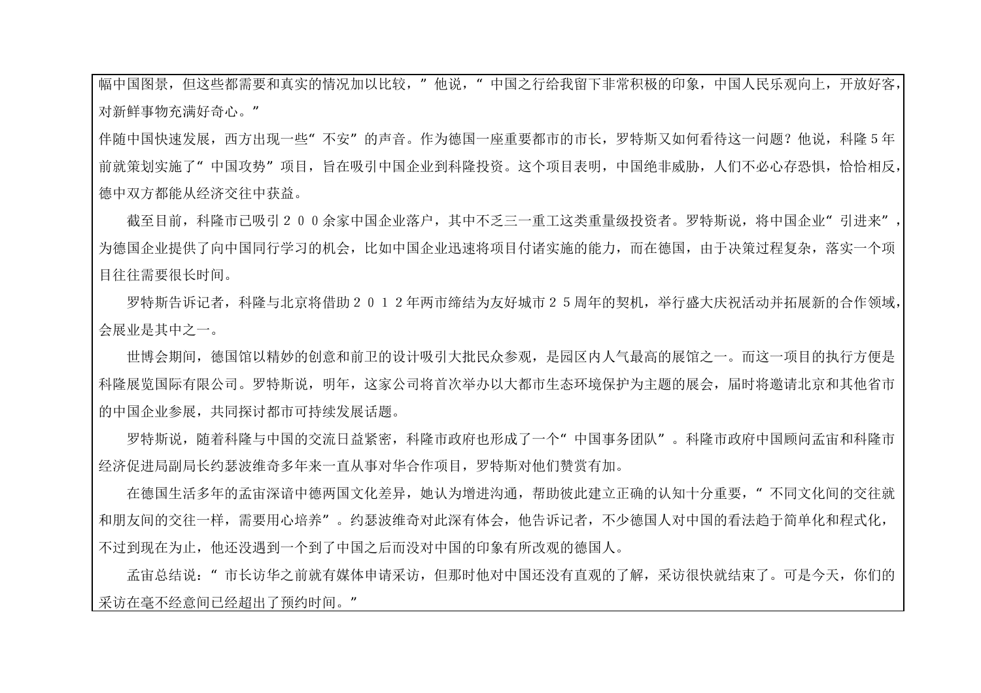幅中国图景,但这些都需要和真实的情况加以比较,"他说,"中国之行给我留下非常积极的印象,中国人民乐观向上,开放好客, 对新鲜事物充满好奇心。"

伴随中国快速发展,西方出现一些"不安"的声音。作为德国一座重要都市的市长,罗特斯又如何看待这一问题?他说,科隆5年 前就策划实施了"中国攻势"项目,旨在吸引中国企业到科隆投资。这个项目表明,中国绝非威胁,人们不必心存恐惧,恰恰相反, 德中双方都能从经济交往中获益。

截至目前,科隆市已吸引200余家中国企业落户,其中不乏三一重工这类重量级投资者。罗特斯说,将中国企业"引进来" 为德国企业提供了向中国同行学习的机会,比如中国企业迅速将项目付诸实施的能力,而在德国,由于决策过程复杂,落实一个项 目往往需要很长时间。

 罗特斯告诉记者,科隆与北京将借助2012年两市缔结为友好城市25周年的契机,举行盛大庆祝活动并拓展新的合作领域, 会展业是其中之一。

 世博会期间,德国馆以精妙的创意和前卫的设计吸引大批民众参观,是园区内人气最高的展馆之一。而这一项目的执行方便是 科隆展览国际有限公司。罗特斯说,明年,这家公司将首次举办以大都市生态环境保护为主题的展会,届时将邀请北京和其他省市 的中国企业参展,共同探讨都市可持续发展话题。

罗特斯说,随着科隆与中国的交流日益紧密,科隆市政府也形成了一个"中国事务团队"。科隆市政府中国顾问孟宙和科隆市 经济促进局副局长约瑟波维奇多年来一直从事对华合作项目,罗特斯对他们赞赏有加。

在德国生活多年的孟宙深谙中德两国文化差异,她认为增进沟通,帮助彼此建立正确的认知十分重要,"不同文化间的交往就 和朋友间的交往一样,需要用心培养"。约瑟波维奇对此深有体会,他告诉记者,不少德国人对中国的看法趋于简单化和程式化, 不过到现在为止,他还没遇到一个到了中国之后而没对中国的印象有所改观的德国人。

 孟宙总结说:"市长访华之前就有媒体申请采访,但那时他对中国还没有直观的了解,采访很快就结束了。可是今天,你们的 采访在毫不经意间已经超出了预约时间。"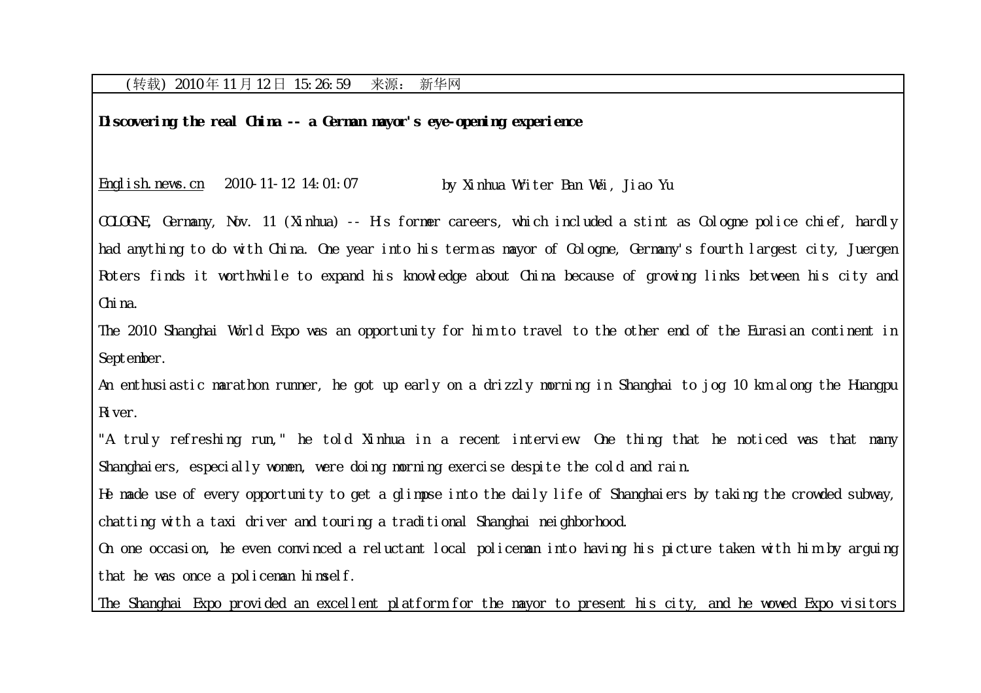## (转载) 2010 年 11 月 12 日 15:26:59 来源: 新华网

**Discovering the real China -- a German mayor's eye-opening experience** 

English.news.cn 2010-11-12 14:01:07 by Xinhua Writer Ban Wei, Jiao Yu

COLOGNE, Germany, Nov. 11 (Xinhua) -- His former careers, which included a stint as Cologne police chief, hardly had anything to do with China. One year into his term as mayor of Cologne, Germany's fourth largest city, Juergen Roters finds it worthwhile to expand his knowledge about China because of growing links between his city and China.

The 2010 Shanghai World Expo was an opportunity for him to travel to the other end of the Eurasian continent in September.

An enthusiastic marathon runner, he got up early on a drizzly morning in Shanghai to jog 10 km along the Huangpu River.

"A truly refreshing run," he told Xinhua in a recent interview. One thing that he noticed was that many Shanghaiers, especially women, were doing morning exercise despite the cold and rain.

He made use of every opportunity to get a glimpse into the daily life of Shanghaiers by taking the crowded subway, chatting with a taxi driver and touring a traditional Shanghai neighborhood.

On one occasion, he even convinced a reluctant local policeman into having his picture taken with him by arguing that he was once a policeman himself.

The Shanghai Expo provided an excellent platform for the mayor to present his city, and he wowed Expo visitors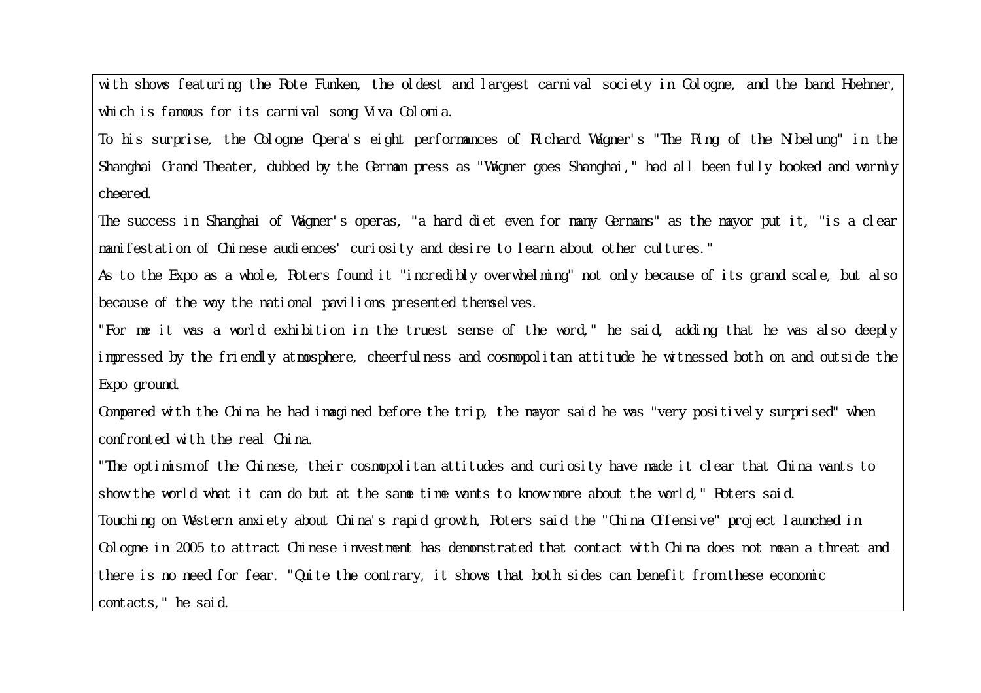with shows featuring the Rote Funken, the oldest and largest carnival society in Cologne, and the band Hoehner, which is famous for its carnival song Viva Colonia.

To his surprise, the Cologne Opera's eight performances of Richard Wagner's "The Ring of the Nibelung" in the Shanghai Grand Theater, dubbed by the German press as "Wagner goes Shanghai," had all been fully booked and warmly cheered.

The success in Shanghai of Wagner's operas, "a hard diet even for many Germans" as the mayor put it, "is a clear manifestation of Chinese audiences' curiosity and desire to learn about other cultures."

As to the Expo as a whole, Roters found it "incredibly overwhelming" not only because of its grand scale, but also because of the way the national pavilions presented themselves.

"For me it was a world exhibition in the truest sense of the word," he said, adding that he was also deeply impressed by the friendly atmosphere, cheerfulness and cosmopolitan attitude he witnessed both on and outside the Expo ground.

Compared with the China he had imagined before the trip, the mayor said he was "very positively surprised" when confronted with the real China.

"The optimism of the Chinese, their cosmopolitan attitudes and curiosity have made it clear that China wants to show the world what it can do but at the same time wants to know more about the world," Roters said. Touching on Western anxiety about China's rapid growth, Roters said the "China Offensive" project launched in Cologne in 2005 to attract Chinese investment has demonstrated that contact with China does not mean a threat and there is no need for fear. "Quite the contrary, it shows that both sides can benefit from these economic contacts," he said.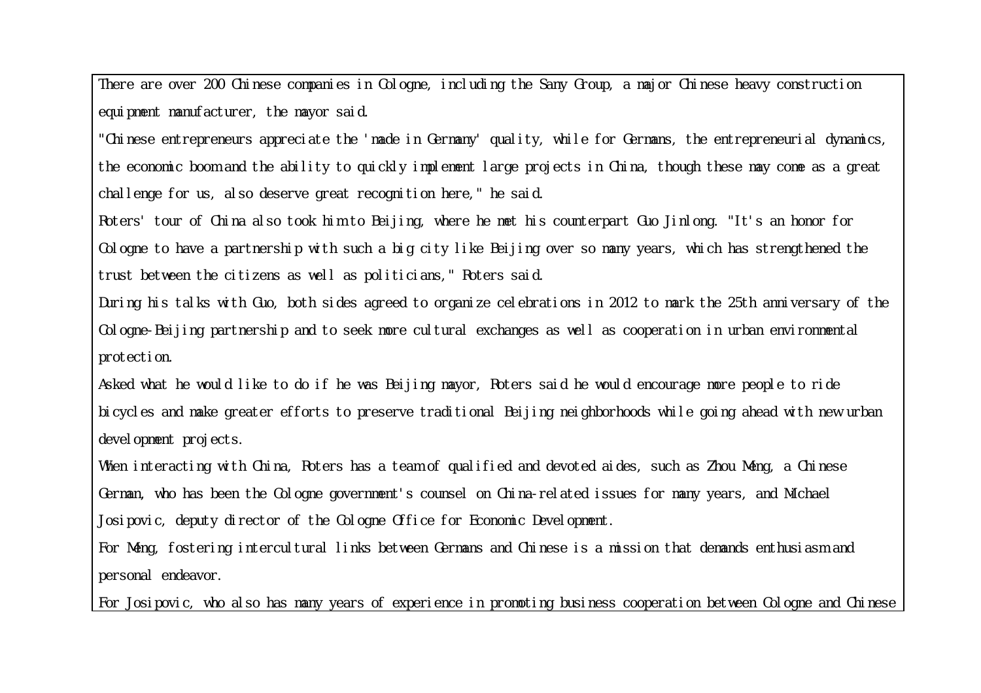There are over 200 Chinese companies in Cologne, including the Sany Group, a major Chinese heavy construction equipment manufacturer, the mayor said.

"Chinese entrepreneurs appreciate the 'made in Germany' quality, while for Germans, the entrepreneurial dynamics, the economic boom and the ability to quickly implement large projects in China, though these may come as a great challenge for us, also deserve great recognition here," he said.

Roters' tour of China also took him to Beijing, where he met his counterpart Guo Jinlong. "It's an honor for Cologne to have a partnership with such a big city like Beijing over so many years, which has strengthened the trust between the citizens as well as politicians," Roters said.

During his talks with Guo, both sides agreed to organize celebrations in 2012 to mark the 25th anniversary of the Cologne-Beijing partnership and to seek more cultural exchanges as well as cooperation in urban environmental protection.

Asked what he would like to do if he was Beijing mayor, Roters said he would encourage more people to ride bicycles and make greater efforts to preserve traditional Beijing neighborhoods while going ahead with new urban development projects.

When interacting with China, Roters has a team of qualified and devoted aides, such as Zhou Meng, a Chinese German, who has been the Cologne government's counsel on China-related issues for many years, and Michael Josipovic, deputy director of the Cologne Office for Economic Development.

For Meng, fostering intercultural links between Germans and Chinese is a mission that demands enthusiasm and personal endeavor.

For Josipovic, who also has many years of experience in promoting business cooperation between Cologne and Chinese